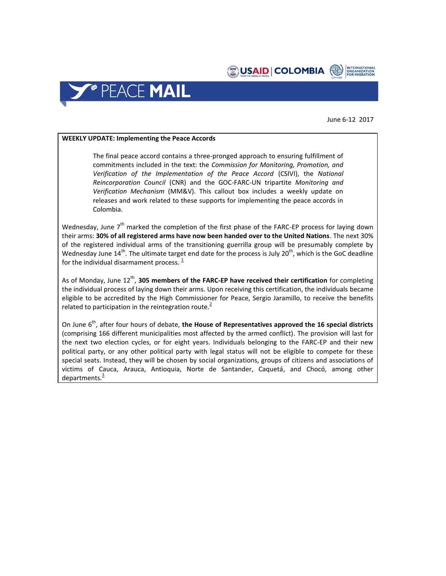



June 6-12 2017

## **WEEKLY UPDATE: Implementing the Peace Accords**

The final peace accord contains a three-pronged approach to ensuring fulfillment of commitments included in the text: the *Commission for Monitoring, Promotion, and Verification of the Implementation of the Peace Accord* (CSIVI), the *National Reincorporation Council* (CNR) and the GOC-FARC-UN tripartite *Monitoring and Verification Mechanism* (MM&V). This callout box includes a weekly update on releases and work related to these supports for implementing the peace accords in Colombia.

Wednesday, June  $7<sup>th</sup>$  marked the completion of the first phase of the FARC-EP process for laying down their arms: **30% of all registered arms have now been handed over to the United Nations**. The next 30% of the registered individual arms of the transitioning guerrilla group will be presumably complete by Wednesday June 14<sup>th</sup>. The ultimate target end date for the process is July 20<sup>th</sup>, which is the GoC deadline for the individual disarmament process.  $\frac{1}{2}$  $\frac{1}{2}$  $\frac{1}{2}$ 

As of Monday, June 12<sup>th</sup>, **305 members of the FARC-EP have received their certification** for completing the individual process of laying down their arms. Upon receiving this certification, the individuals became eligible to be accredited by the High Commissioner for Peace, Sergio Jaramillo, to receive the benefits related to participation in the reintegration route.<sup>[2](https://colombia.unmissions.org/misi%C3%B3n-de-la-onu-en-colombia-entreg%C3%B3-certificado-de-dejaci%C3%B3n-de-armas-305-miembros-de-las-farc-ep)</sup>

On June 6<sup>th</sup>, after four hours of debate, the House of Representatives approved the 16 special districts (comprising 166 different municipalities most affected by the armed conflict). The provision will last for the next two election cycles, or for eight years. Individuals belonging to the FARC-EP and their new political party, or any other political party with legal status will not be eligible to compete for these special seats. Instead, they will be chosen by social organizations, groups of citizens and associations of victims of Cauca, Arauca, Antioquia, Norte de Santander, Caquetá, and Chocó, among other departments.<sup>[3](http://www.eltiempo.com/politica/proceso-de-paz/avanza-creacion-de-curules-especiales-en-camara-para-las-farc-96278)</sup>